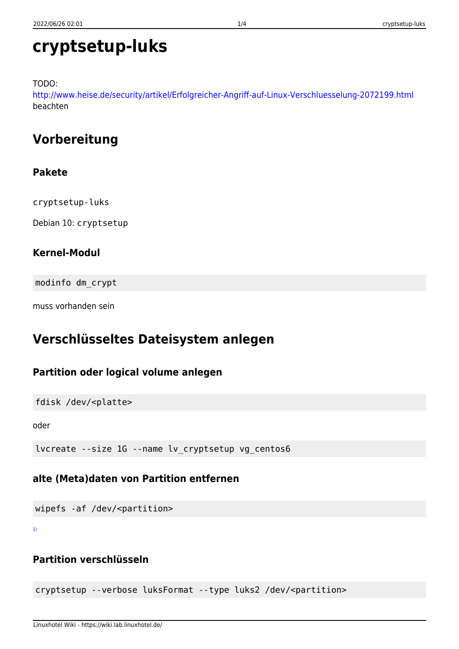# **cryptsetup-luks**

TODO:

<http://www.heise.de/security/artikel/Erfolgreicher-Angriff-auf-Linux-Verschluesselung-2072199.html> beachten

# **Vorbereitung**

### **Pakete**

cryptsetup-luks

Debian 10: cryptsetup

### **Kernel-Modul**

modinfo dm\_crypt

muss vorhanden sein

# **Verschlüsseltes Dateisystem anlegen**

### **Partition oder logical volume anlegen**

fdisk /dev/<platte>

oder

```
lvcreate --size 1G --name lv_cryptsetup vg_centos6
```
### **alte (Meta)daten von Partition entfernen**

wipefs -af /dev/<partition>

[1\)](#page--1-0)

### **Partition verschlüsseln**

cryptsetup --verbose luksFormat --type luks2 /dev/<partition>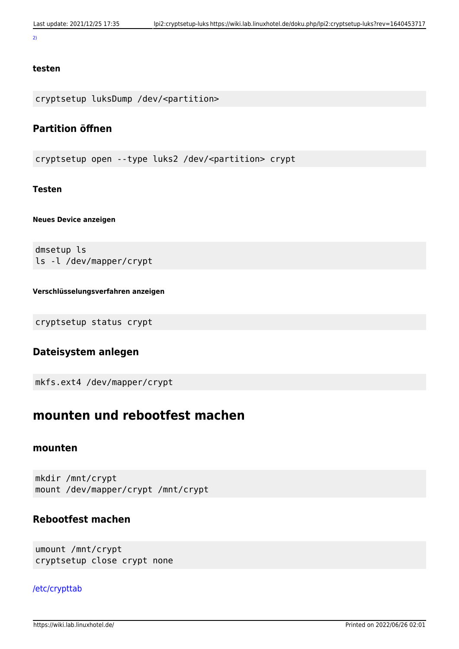#### [2\)](#page--1-0)

#### **testen**

cryptsetup luksDump /dev/<partition>

### **Partition öffnen**

cryptsetup open --type luks2 /dev/<partition> crypt

#### **Testen**

#### **Neues Device anzeigen**

dmsetup ls ls -l /dev/mapper/crypt

#### **Verschlüsselungsverfahren anzeigen**

cryptsetup status crypt

### **Dateisystem anlegen**

mkfs.ext4 /dev/mapper/crypt

## **mounten und rebootfest machen**

#### **mounten**

mkdir /mnt/crypt mount /dev/mapper/crypt /mnt/crypt

### **Rebootfest machen**

umount /mnt/crypt cryptsetup close crypt none

#### [/etc/crypttab](https://wiki.lab.linuxhotel.de/doku.php/lpi2:cryptsetup-luks?do=export_code&codeblock=0)